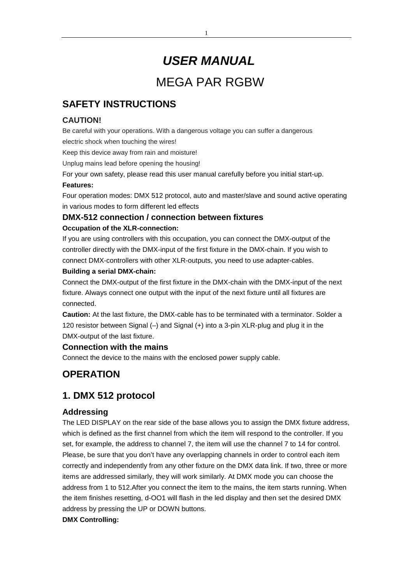# *USER MANUAL* MEGA PAR RGBW

# **SAFETY INSTRUCTIONS**

## **CAUTION!**

Be careful with your operations. With a dangerous voltage you can suffer a dangerous electric shock when touching the wires!

Keep this device away from rain and moisture!

Unplug mains lead before opening the housing!

For your own safety, please read this user manual carefully before you initial start-up.

#### **Features:**

Four operation modes: DMX 512 protocol, auto and master/slave and sound active operating in various modes to form different led effects

## **DMX-512 connection / connection between fixtures**

### **Occupation of the XLR-connection:**

If you are using controllers with this occupation, you can connect the DMX-output of the controller directly with the DMX-input of the first fixture in the DMX-chain. If you wish to connect DMX-controllers with other XLR-outputs, you need to use adapter-cables.

### **Building a serial DMX-chain:**

Connect the DMX-output of the first fixture in the DMX-chain with the DMX-input of the next fixture. Always connect one output with the input of the next fixture until all fixtures are connected.

**Caution:** At the last fixture, the DMX-cable has to be terminated with a terminator. Solder a 120 resistor between Signal (–) and Signal (+) into a 3-pin XLR-plug and plug it in the DMX-output of the last fixture.

## **Connection with the mains**

Connect the device to the mains with the enclosed power supply cable.

# **OPERATION**

## **1. DMX 512 protocol**

## **Addressing**

The LED DISPLAY on the rear side of the base allows you to assign the DMX fixture address, which is defined as the first channel from which the item will respond to the controller. If you set, for example, the address to channel 7, the item will use the channel 7 to 14 for control. Please, be sure that you don't have any overlapping channels in order to control each item correctly and independently from any other fixture on the DMX data link. If two, three or more items are addressed similarly, they will work similarly. At DMX mode you can choose the address from 1 to 512.After you connect the item to the mains, the item starts running. When the item finishes resetting, d-OO1 will flash in the led display and then set the desired DMX address by pressing the UP or DOWN buttons.

### **DMX Controlling:**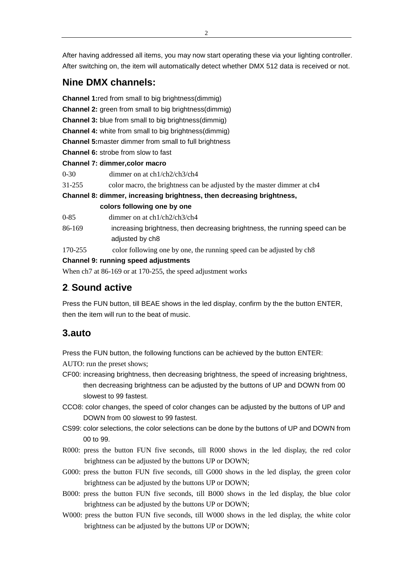After having addressed all items, you may now start operating these via your lighting controller. After switching on, the item will automatically detect whether DMX 512 data is received or not.

# **Nine DMX channels:**

**Channel 1:**red from small to big brightness(dimmig) **Channel 2:** green from small to big brightness(dimmig) **Channel 3:** blue from small to big brightness(dimmig) **Channel 4:** white from small to big brightness(dimmig) **Channel 5:**master dimmer from small to full brightness **Channel 6:** strobe from slow to fast **Channel 7: dimmer,color macro** 0-30 dimmer on at ch1/ch2/ch3/ch4 31-255 color macro, the brightness can be adjusted by the master dimmer at ch4 **Channel 8: dimmer, increasing brightness, then decreasing brightness, colors following one by one** 0-85 dimmer on at ch1/ch2/ch3/ch4 86-169 increasing brightness, then decreasing brightness, the running speed can be

- adjusted by ch8
	- 170-255 color following one by one, the running speed can be adjusted by ch8

#### **Channel 9: running speed adjustments**

When ch7 at 86-169 or at 170-255, the speed adjustment works

# **2**. **Sound active**

Press the FUN button, till BEAE shows in the led display, confirm by the the button ENTER, then the item will run to the beat of music.

## **3.auto**

Press the FUN button, the following functions can be achieved by the button ENTER:

AUTO: run the preset shows;

- CF00: increasing brightness, then decreasing brightness, the speed of increasing brightness, then decreasing brightness can be adjusted by the buttons of UP and DOWN from 00 slowest to 99 fastest.
- CCO8: color changes, the speed of color changes can be adjusted by the buttons of UP and DOWN from 00 slowest to 99 fastest.
- CS99: color selections, the color selections can be done by the buttons of UP and DOWN from 00 to 99.
- R000: press the button FUN five seconds, till R000 shows in the led display, the red color brightness can be adjusted by the buttons UP or DOWN;
- G000: press the button FUN five seconds, till G000 shows in the led display, the green color brightness can be adjusted by the buttons UP or DOWN;
- B000: press the button FUN five seconds, till B000 shows in the led display, the blue color brightness can be adjusted by the buttons UP or DOWN;
- W000: press the button FUN five seconds, till W000 shows in the led display, the white color brightness can be adjusted by the buttons UP or DOWN;